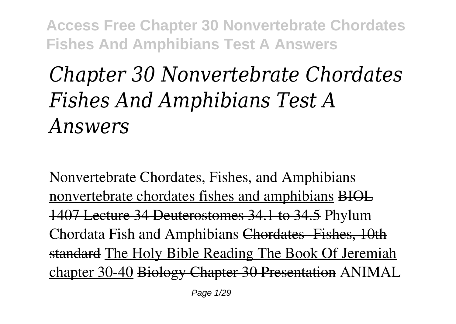# *Chapter 30 Nonvertebrate Chordates Fishes And Amphibians Test A Answers*

*Nonvertebrate Chordates, Fishes, and Amphibians* nonvertebrate chordates fishes and amphibians BIOL 1407 Lecture 34 Deuterostomes 34.1 to 34.5 *Phylum Chordata Fish and Amphibians* Chordates- Fishes, 10th standard The Holy Bible Reading The Book Of Jeremiah chapter 30-40 Biology Chapter 30 Presentation ANIMAL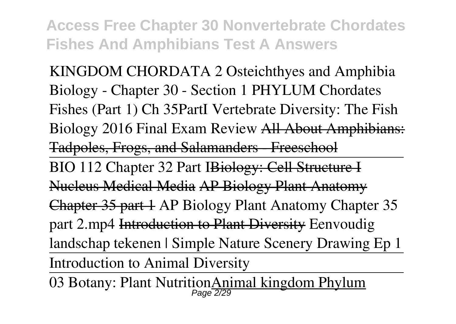KINGDOM CHORDATA 2 Osteichthyes and Amphibia Biology - Chapter 30 - Section 1 PHYLUM Chordates Fishes (Part 1) **Ch 35PartI** *Vertebrate Diversity: The Fish Biology 2016 Final Exam Review* All About Amphibians: Tadpoles, Frogs, and Salamanders - Freeschool BIO 112 Chapter 32 Part IBiology: Cell Structure I Nucleus Medical Media AP Biology Plant Anatomy Chapter 35 part 1 **AP Biology Plant Anatomy Chapter 35 part 2.mp4** Introduction to Plant Diversity **Eenvoudig landschap tekenen | Simple Nature Scenery Drawing Ep 1** Introduction to Animal Diversity

03 Botany: Plant Nutrition Animal kingdom Phylum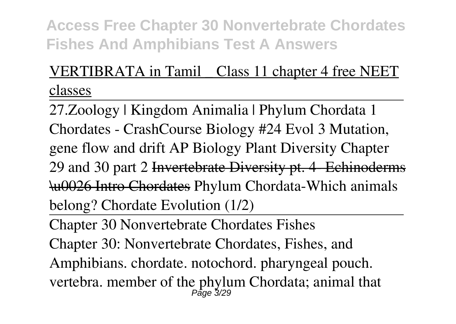# VERTIBRATA in Tamil \_ Class 11 chapter 4 free NEET classes

27.Zoology | Kingdom Animalia | Phylum Chordata 1 Chordates - CrashCourse Biology #24 Evol 3 Mutation, gene flow and drift **AP Biology Plant Diversity Chapter 29 and 30 part 2** Invertebrate Diversity pt. 4- Echinoderms \u0026 Intro Chordates Phylum Chordata-Which animals belong? Chordate Evolution (1/2)

Chapter 30 Nonvertebrate Chordates Fishes Chapter 30: Nonvertebrate Chordates, Fishes, and Amphibians. chordate. notochord. pharyngeal pouch. vertebra. member of the phylum Chordata; animal that Page 3/29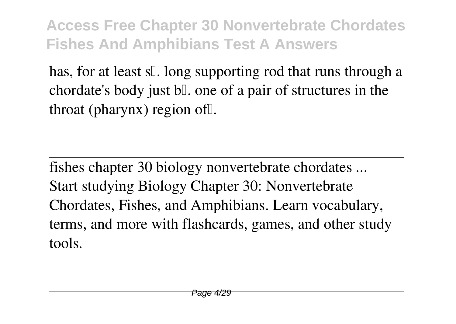has, for at least s[]. long supporting rod that runs through a chordate's body just  $b\mathbb{I}$ , one of a pair of structures in the throat (pharynx) region of [].

fishes chapter 30 biology nonvertebrate chordates ... Start studying Biology Chapter 30: Nonvertebrate Chordates, Fishes, and Amphibians. Learn vocabulary, terms, and more with flashcards, games, and other study tools.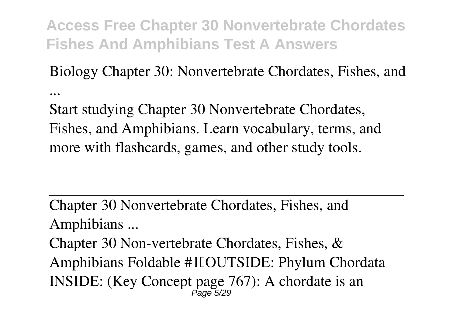Biology Chapter 30: Nonvertebrate Chordates, Fishes, and ...

Start studying Chapter 30 Nonvertebrate Chordates, Fishes, and Amphibians. Learn vocabulary, terms, and more with flashcards, games, and other study tools.

Chapter 30 Nonvertebrate Chordates, Fishes, and Amphibians ...

Chapter 30 Non-vertebrate Chordates, Fishes, & Amphibians Foldable #1 DUTSIDE: Phylum Chordata INSIDE: (Key Concept page 767): A chordate is an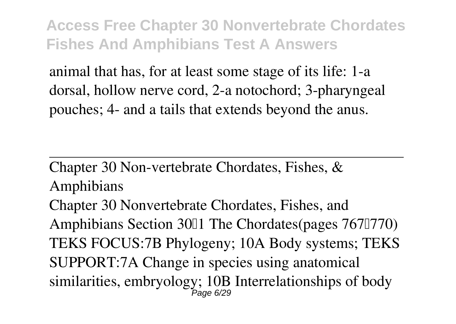animal that has, for at least some stage of its life: 1-a dorsal, hollow nerve cord, 2-a notochord; 3-pharyngeal pouches; 4- and a tails that extends beyond the anus.

Chapter 30 Non-vertebrate Chordates, Fishes, & Amphibians

Chapter 30 Nonvertebrate Chordates, Fishes, and Amphibians Section 3001 The Chordates (pages 7670770) TEKS FOCUS:7B Phylogeny; 10A Body systems; TEKS SUPPORT:7A Change in species using anatomical similarities, embryology; 10B Interrelationships of body Page 6/29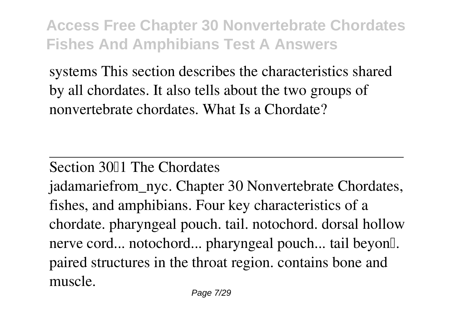systems This section describes the characteristics shared by all chordates. It also tells about the two groups of nonvertebrate chordates. What Is a Chordate?

#### Section 3011 The Chordates

jadamariefrom\_nyc. Chapter 30 Nonvertebrate Chordates, fishes, and amphibians. Four key characteristics of a chordate. pharyngeal pouch. tail. notochord. dorsal hollow nerve cord... notochord... pharyngeal pouch... tail beyon... paired structures in the throat region. contains bone and muscle.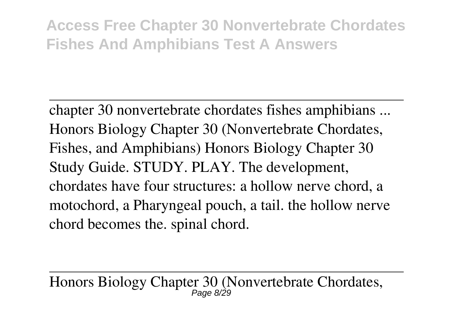chapter 30 nonvertebrate chordates fishes amphibians ... Honors Biology Chapter 30 (Nonvertebrate Chordates, Fishes, and Amphibians) Honors Biology Chapter 30 Study Guide. STUDY. PLAY. The development, chordates have four structures: a hollow nerve chord, a motochord, a Pharyngeal pouch, a tail. the hollow nerve chord becomes the. spinal chord.

Honors Biology Chapter 30 (Nonvertebrate Chordates, Page 8/29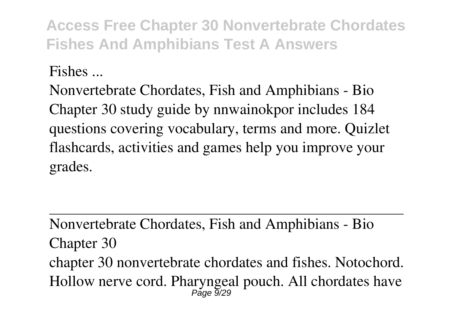Fishes ...

Nonvertebrate Chordates, Fish and Amphibians - Bio Chapter 30 study guide by nnwainokpor includes 184 questions covering vocabulary, terms and more. Quizlet flashcards, activities and games help you improve your grades.

Nonvertebrate Chordates, Fish and Amphibians - Bio Chapter 30 chapter 30 nonvertebrate chordates and fishes. Notochord. Hollow nerve cord. Pharyngeal pouch. All chordates have Page 9/29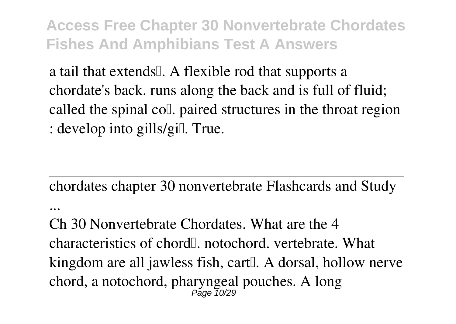a tail that extends. A flexible rod that supports a chordate's back. runs along the back and is full of fluid; called the spinal coll. paired structures in the throat region : develop into gills/gill. True.

chordates chapter 30 nonvertebrate Flashcards and Study

...

Ch 30 Nonvertebrate Chordates. What are the 4 characteristics of chord<sup>[1]</sup>. notochord. vertebrate. What kingdom are all jawless fish, cart. A dorsal, hollow nerve chord, a notochord, pharyngeal pouches. A long Page 10/29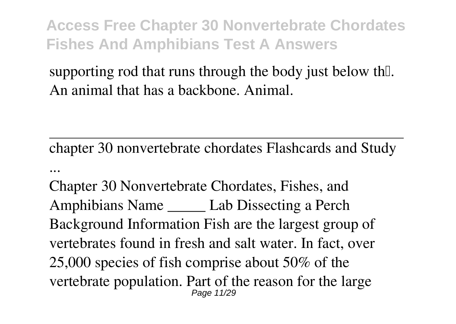supporting rod that runs through the body just below the. An animal that has a backbone. Animal.

chapter 30 nonvertebrate chordates Flashcards and Study ...

Chapter 30 Nonvertebrate Chordates, Fishes, and Amphibians Name \_\_\_\_\_ Lab Dissecting a Perch Background Information Fish are the largest group of vertebrates found in fresh and salt water. In fact, over 25,000 species of fish comprise about 50% of the vertebrate population. Part of the reason for the large Page 11/29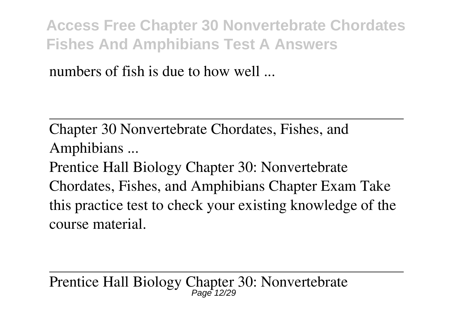numbers of fish is due to how well

Chapter 30 Nonvertebrate Chordates, Fishes, and Amphibians ...

Prentice Hall Biology Chapter 30: Nonvertebrate Chordates, Fishes, and Amphibians Chapter Exam Take this practice test to check your existing knowledge of the course material.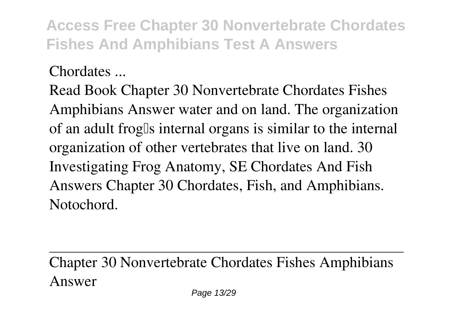Chordates ...

Read Book Chapter 30 Nonvertebrate Chordates Fishes Amphibians Answer water and on land. The organization of an adult frog's internal organs is similar to the internal organization of other vertebrates that live on land. 30 Investigating Frog Anatomy, SE Chordates And Fish Answers Chapter 30 Chordates, Fish, and Amphibians. Notochord.

Chapter 30 Nonvertebrate Chordates Fishes Amphibians Answer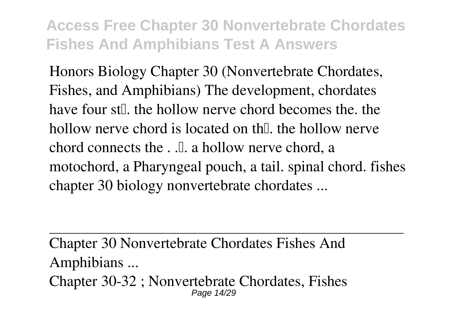Honors Biology Chapter 30 (Nonvertebrate Chordates, Fishes, and Amphibians) The development, chordates have four st<sub>[1</sub>], the hollow nerve chord becomes the the hollow nerve chord is located on th $\mathbb{I}$  the hollow nerve chord connects the  $\Box$ . a hollow nerve chord, a motochord, a Pharyngeal pouch, a tail. spinal chord. fishes chapter 30 biology nonvertebrate chordates ...

Chapter 30 Nonvertebrate Chordates Fishes And Amphibians ... Chapter 30-32 ; Nonvertebrate Chordates, Fishes Page 14/29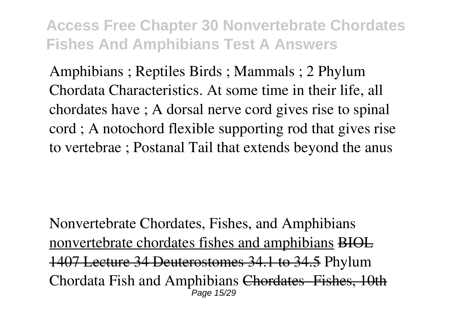Amphibians ; Reptiles Birds ; Mammals ; 2 Phylum Chordata Characteristics. At some time in their life, all chordates have ; A dorsal nerve cord gives rise to spinal cord ; A notochord flexible supporting rod that gives rise to vertebrae ; Postanal Tail that extends beyond the anus

*Nonvertebrate Chordates, Fishes, and Amphibians* nonvertebrate chordates fishes and amphibians BIOL 1407 Lecture 34 Deuterostomes 34.1 to 34.5 *Phylum Chordata Fish and Amphibians* Chordates- Fishes, 10th Page 15/29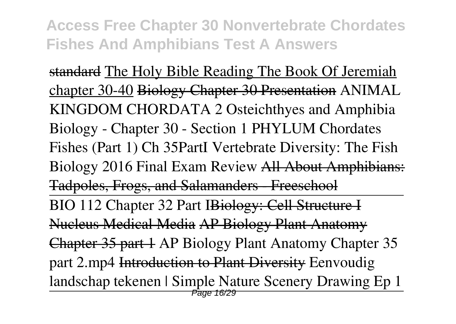standard The Holy Bible Reading The Book Of Jeremiah chapter 30-40 Biology Chapter 30 Presentation ANIMAL KINGDOM CHORDATA 2 Osteichthyes and Amphibia Biology - Chapter 30 - Section 1 PHYLUM Chordates Fishes (Part 1) **Ch 35PartI** *Vertebrate Diversity: The Fish Biology 2016 Final Exam Review* All About Amphibians: Tadpoles, Frogs, and Salamanders Freeschool BIO 112 Chapter 32 Part IBiology: Cell Structure I Nucleus Medical Media AP Biology Plant Anatomy Chapter 35 part 1 **AP Biology Plant Anatomy Chapter 35 part 2.mp4** Introduction to Plant Diversity **Eenvoudig landschap tekenen | Simple Nature Scenery Drawing Ep 1 Page 16/29**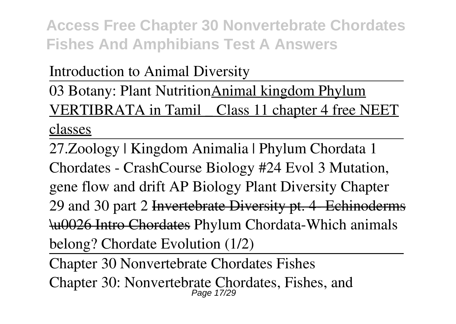Introduction to Animal Diversity

03 Botany: Plant NutritionAnimal kingdom Phylum VERTIBRATA in Tamil \_ Class 11 chapter 4 free NEET classes

27.Zoology | Kingdom Animalia | Phylum Chordata 1 Chordates - CrashCourse Biology #24 Evol 3 Mutation, gene flow and drift **AP Biology Plant Diversity Chapter 29 and 30 part 2** Invertebrate Diversity pt. 4- Echinoderms \u0026 Intro Chordates Phylum Chordata-Which animals belong? Chordate Evolution (1/2)

Chapter 30 Nonvertebrate Chordates Fishes Chapter 30: Nonvertebrate Chordates, Fishes, and Page 17/29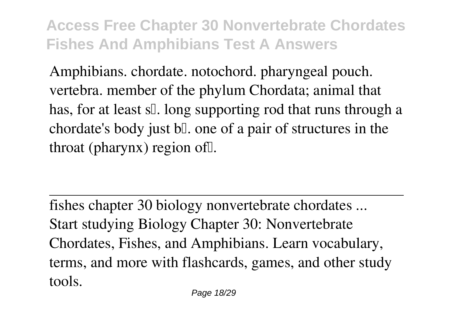Amphibians. chordate. notochord. pharyngeal pouch. vertebra. member of the phylum Chordata; animal that has, for at least s[]. long supporting rod that runs through a chordate's body just bl. one of a pair of structures in the throat (pharynx) region of  $\mathbb{I}$ .

fishes chapter 30 biology nonvertebrate chordates ... Start studying Biology Chapter 30: Nonvertebrate Chordates, Fishes, and Amphibians. Learn vocabulary, terms, and more with flashcards, games, and other study tools.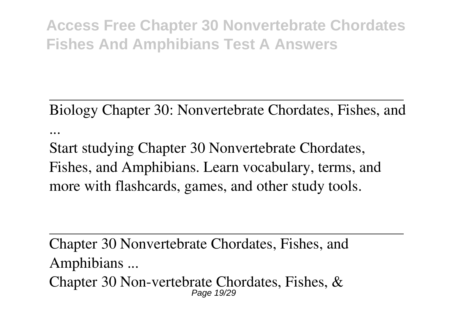Biology Chapter 30: Nonvertebrate Chordates, Fishes, and ...

Start studying Chapter 30 Nonvertebrate Chordates, Fishes, and Amphibians. Learn vocabulary, terms, and more with flashcards, games, and other study tools.

Chapter 30 Nonvertebrate Chordates, Fishes, and Amphibians ...

Chapter 30 Non-vertebrate Chordates, Fishes, & Page 19/29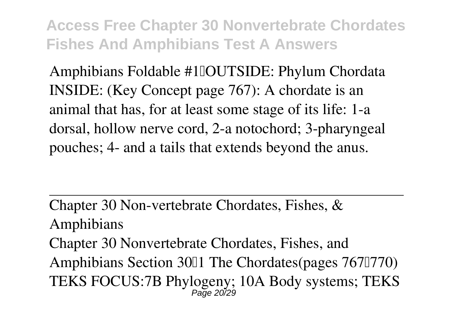Amphibians Foldable #1 <u>I</u>OUTSIDE: Phylum Chordata INSIDE: (Key Concept page 767): A chordate is an animal that has, for at least some stage of its life: 1-a dorsal, hollow nerve cord, 2-a notochord; 3-pharyngeal pouches; 4- and a tails that extends beyond the anus.

Chapter 30 Non-vertebrate Chordates, Fishes, & Amphibians Chapter 30 Nonvertebrate Chordates, Fishes, and Amphibians Section 3011 The Chordates(pages 7671770) TEKS FOCUS:7B Phylogeny; 10A Body systems; TEKS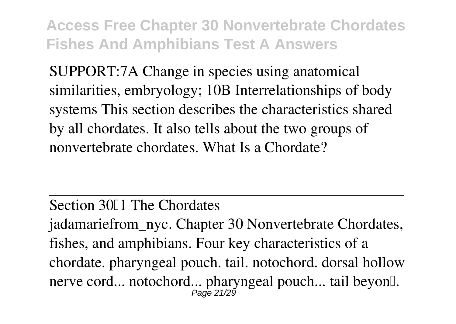SUPPORT:7A Change in species using anatomical similarities, embryology; 10B Interrelationships of body systems This section describes the characteristics shared by all chordates. It also tells about the two groups of nonvertebrate chordates. What Is a Chordate?

#### Section 3011 The Chordates

jadamariefrom\_nyc. Chapter 30 Nonvertebrate Chordates, fishes, and amphibians. Four key characteristics of a chordate. pharyngeal pouch. tail. notochord. dorsal hollow nerve cord... notochord... pharyngeal pouch... tail beyon[].<br>Page 21/29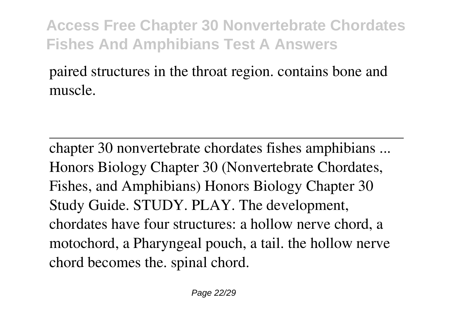### paired structures in the throat region. contains bone and muscle.

chapter 30 nonvertebrate chordates fishes amphibians ... Honors Biology Chapter 30 (Nonvertebrate Chordates, Fishes, and Amphibians) Honors Biology Chapter 30 Study Guide. STUDY. PLAY. The development, chordates have four structures: a hollow nerve chord, a motochord, a Pharyngeal pouch, a tail. the hollow nerve chord becomes the. spinal chord.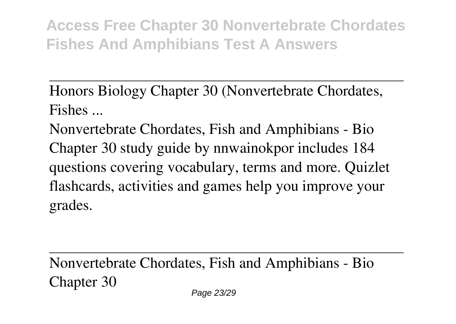Honors Biology Chapter 30 (Nonvertebrate Chordates, Fishes ...

Nonvertebrate Chordates, Fish and Amphibians - Bio Chapter 30 study guide by nnwainokpor includes 184 questions covering vocabulary, terms and more. Quizlet flashcards, activities and games help you improve your grades.

Nonvertebrate Chordates, Fish and Amphibians - Bio Chapter 30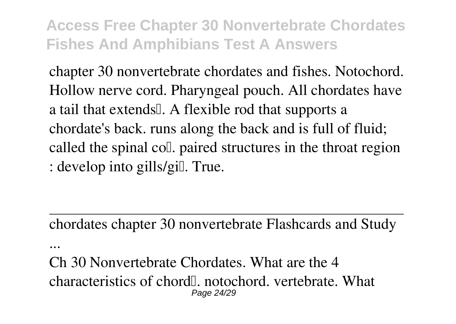chapter 30 nonvertebrate chordates and fishes. Notochord. Hollow nerve cord. Pharyngeal pouch. All chordates have a tail that extends. A flexible rod that supports a chordate's back. runs along the back and is full of fluid; called the spinal coll. paired structures in the throat region : develop into gills/gill. True.

chordates chapter 30 nonvertebrate Flashcards and Study ...

Ch 30 Nonvertebrate Chordates. What are the 4 characteristics of chord<sup>[1]</sup>. notochord. vertebrate. What Page 24/29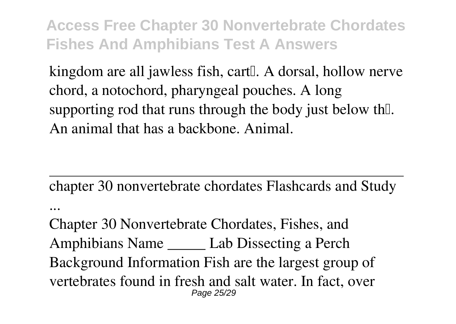kingdom are all jawless fish, cart<sup>[]</sup>. A dorsal, hollow nerve chord, a notochord, pharyngeal pouches. A long supporting rod that runs through the body just below the. An animal that has a backbone. Animal.

chapter 30 nonvertebrate chordates Flashcards and Study

Chapter 30 Nonvertebrate Chordates, Fishes, and Amphibians Name \_\_\_\_\_ Lab Dissecting a Perch Background Information Fish are the largest group of vertebrates found in fresh and salt water. In fact, over Page 25/29

...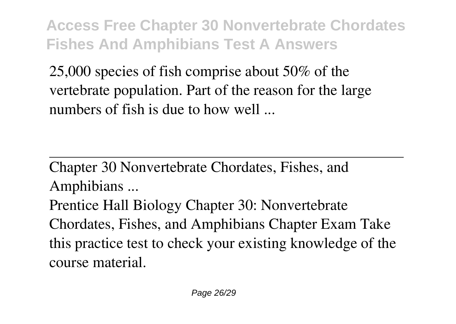25,000 species of fish comprise about 50% of the vertebrate population. Part of the reason for the large numbers of fish is due to how well ...

Chapter 30 Nonvertebrate Chordates, Fishes, and Amphibians ...

Prentice Hall Biology Chapter 30: Nonvertebrate Chordates, Fishes, and Amphibians Chapter Exam Take this practice test to check your existing knowledge of the course material.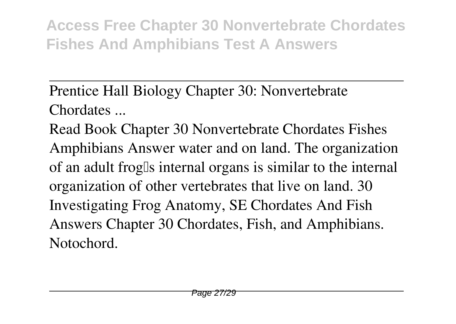Prentice Hall Biology Chapter 30: Nonvertebrate Chordates ...

Read Book Chapter 30 Nonvertebrate Chordates Fishes Amphibians Answer water and on land. The organization of an adult frog's internal organs is similar to the internal organization of other vertebrates that live on land. 30 Investigating Frog Anatomy, SE Chordates And Fish Answers Chapter 30 Chordates, Fish, and Amphibians. Notochord.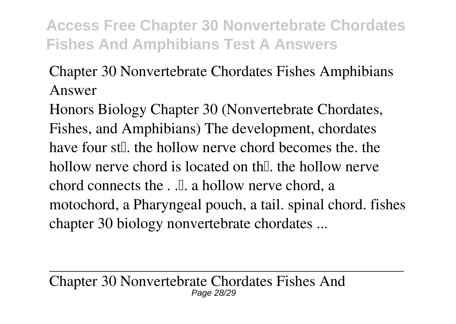### Chapter 30 Nonvertebrate Chordates Fishes Amphibians Answer

Honors Biology Chapter 30 (Nonvertebrate Chordates, Fishes, and Amphibians) The development, chordates have four st<sub>[1</sub>], the hollow nerve chord becomes the the hollow nerve chord is located on the hollow nerve chord connects the  $\ldots$ . a hollow nerve chord, a motochord, a Pharyngeal pouch, a tail. spinal chord. fishes chapter 30 biology nonvertebrate chordates ...